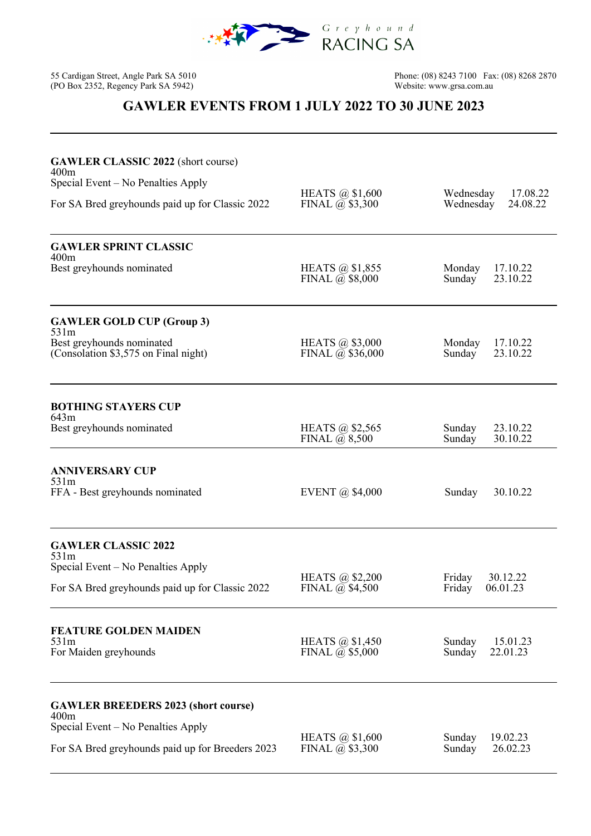

55 Cardigan Street, Angle Park SA 5010<br>(PO Box 2352, Regency Park SA 5942)

95 Phone: (08) 8243 7100 Fax: (08) 8268 2870<br>Website: www.grsa.com.au

## **GAWLER EVENTS FROM 1 JULY 2022 TO 30 JUNE 2023**

| <b>GAWLER CLASSIC 2022</b> (short course)<br>400m<br>Special Event – No Penalties Apply<br>For SA Bred greyhounds paid up for Classic 2022   | HEATS $\omega$ \$1,600<br>FINAL $\overline{a}$ \$3,300 | Wednesday<br>17.08.22<br>Wednesday<br>24.08.22 |
|----------------------------------------------------------------------------------------------------------------------------------------------|--------------------------------------------------------|------------------------------------------------|
| <b>GAWLER SPRINT CLASSIC</b><br>400m<br>Best greyhounds nominated                                                                            | HEATS @ \$1,855<br>FINAL $\overline{a}$ , \$8,000      | Monday<br>17.10.22<br>23.10.22<br>Sunday       |
| <b>GAWLER GOLD CUP (Group 3)</b><br>531m<br>Best greyhounds nominated<br>(Consolation \$3,575 on Final night)                                | HEATS @ \$3,000<br>FINAL $\omega$ \$36,000             | Monday<br>17.10.22<br>23.10.22<br>Sunday       |
| <b>BOTHING STAYERS CUP</b><br>643m<br>Best greyhounds nominated                                                                              | HEATS @ \$2,565<br>FINAL $\overline{a}$ , 8,500        | 23.10.22<br>Sunday<br>30.10.22<br>Sunday       |
| <b>ANNIVERSARY CUP</b><br>531m<br>FFA - Best greyhounds nominated                                                                            | <b>EVENT</b> @ \$4,000                                 | 30.10.22<br>Sunday                             |
| <b>GAWLER CLASSIC 2022</b><br>531m<br>Special Event – No Penalties Apply<br>For SA Bred greyhounds paid up for Classic 2022                  | HEATS @ \$2,200<br>FINAL $\overline{a}$ \$4,500        | Friday<br>30.12.22<br>Friday<br>06.01.23       |
| <b>FEATURE GOLDEN MAIDEN</b><br>531m<br>For Maiden greyhounds                                                                                | HEATS $\omega$ \$1,450<br>FINAL $\overline{a}$ \$5,000 | Sunday<br>15.01.23<br>Sunday<br>22.01.23       |
| <b>GAWLER BREEDERS 2023 (short course)</b><br>400m<br>Special Event – No Penalties Apply<br>For SA Bred greyhounds paid up for Breeders 2023 | HEATS $\omega$ \$1,600<br>FINAL $\overline{a}$ \$3,300 | 19.02.23<br>Sunday<br>Sunday<br>26.02.23       |